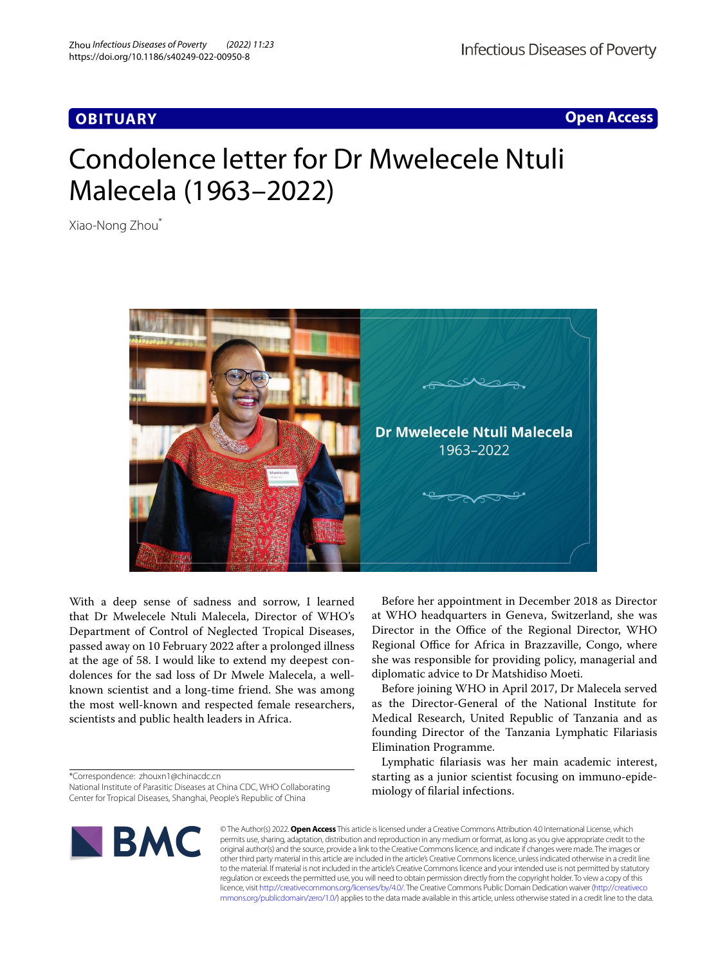# **OBITUARY**

**Open Access**

# Condolence letter for Dr Mwelecele Ntuli Malecela (1963–2022)

Xiao‑Nong Zhou\*



With a deep sense of sadness and sorrow, I learned that Dr Mwelecele Ntuli Malecela, Director of WHO's Department of Control of Neglected Tropical Diseases, passed away on 10 February 2022 after a prolonged illness at the age of 58. I would like to extend my deepest condolences for the sad loss of Dr Mwele Malecela, a wellknown scientist and a long-time friend. She was among the most well-known and respected female researchers, scientists and public health leaders in Africa.

\*Correspondence: zhouxn1@chinacdc.cn

National Institute of Parasitic Diseases at China CDC, WHO Collaborating Center for Tropical Diseases, Shanghai, People's Republic of China

Before her appointment in December 2018 as Director at WHO headquarters in Geneva, Switzerland, she was Director in the Office of the Regional Director, WHO Regional Office for Africa in Brazzaville, Congo, where she was responsible for providing policy, managerial and diplomatic advice to Dr Matshidiso Moeti.

Before joining WHO in April 2017, Dr Malecela served as the Director-General of the National Institute for Medical Research, United Republic of Tanzania and as founding Director of the Tanzania Lymphatic Filariasis Elimination Programme.

Lymphatic flariasis was her main academic interest, starting as a junior scientist focusing on immuno-epidemiology of flarial infections.



© The Author(s) 2022. **Open Access** This article is licensed under a Creative Commons Attribution 4.0 International License, which permits use, sharing, adaptation, distribution and reproduction in any medium or format, as long as you give appropriate credit to the original author(s) and the source, provide a link to the Creative Commons licence, and indicate if changes were made. The images or other third party material in this article are included in the article's Creative Commons licence, unless indicated otherwise in a credit line to the material. If material is not included in the article's Creative Commons licence and your intended use is not permitted by statutory regulation or exceeds the permitted use, you will need to obtain permission directly from the copyright holder. To view a copy of this licence, visit [http://creativecommons.org/licenses/by/4.0/.](http://creativecommons.org/licenses/by/4.0/) The Creative Commons Public Domain Dedication waiver ([http://creativeco](http://creativecommons.org/publicdomain/zero/1.0/) [mmons.org/publicdomain/zero/1.0/](http://creativecommons.org/publicdomain/zero/1.0/)) applies to the data made available in this article, unless otherwise stated in a credit line to the data.